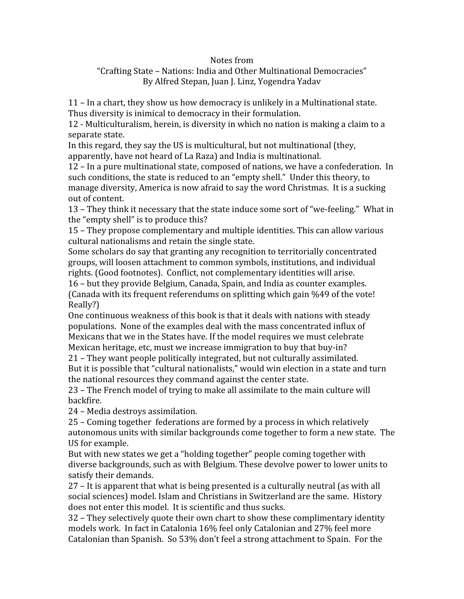## Notes
from

## "Crafting
State
–
Nations:
India
and
Other
Multinational
Democracies" By
Alfred
Stepan,
Juan
J.
Linz,
Yogendra
Yadav

11
–
In
a
chart,
they
show
us
how
democracy
is
unlikely
in
a
Multinational
state. Thus diversity is inimical to democracy in their formulation.

12
‐
Multiculturalism,
herein,
is
diversity
in
which
no
nation
is
making
a
claim
to
a separate
state.

In this regard, they say the US is multicultural, but not multinational (they, apparently,
have
not
heard
of
La
Raza)
and
India
is
multinational.

12
–
In
a
pure
multinational
state,
composed
of
nations,
we
have
a
confederation.

In such conditions, the state is reduced to an "empty shell." Under this theory, to manage diversity, America is now afraid to say the word Christmas. It is a sucking out
of
content.

13 – They think it necessary that the state induce some sort of "we-feeling." What in the
"empty
shell"
is
to
produce
this?

15
–
They
propose
complementary
and
multiple
identities.
This
can
allow
various cultural
nationalisms
and
retain
the
single
state.

Some
scholars
do
say
that
granting
any
recognition
to
territorially
concentrated groups,
will
loosen
attachment
to
common
symbols,
institutions,
and
individual rights.
(Good
footnotes).

Conflict,
not
complementary
identities
will
arise.

16
–
but
they
provide
Belgium,
Canada,
Spain,
and
India
as
counter
examples. (Canada
with
its
frequent
referendums
on
splitting
which
gain
%49
of
the
vote! Really?)

One continuous weakness of this book is that it deals with nations with steady populations.

None
of
the
examples
deal
with
the
mass
concentrated
influx
of Mexicans that we in the States have. If the model requires we must celebrate Mexican heritage, etc, must we increase immigration to buy that buy-in?

21
–
They
want
people
politically
integrated,
but
not
culturally
assimilated. But it is possible that "cultural nationalists," would win election in a state and turn the national resources they command against the center state.

23
–
The
French
model
of
trying
to
make
all
assimilate
to
the
main
culture
will backfire.

24
–
Media
destroys
assimilation.

25
–
Coming
together

federations
are
formed
by
a
process
in
which
relatively autonomous units with similar backgrounds come together to form a new state. The US
for
example.

But with new states we get a "holding together" people coming together with diverse
backgrounds,
such
as
with
Belgium.
These
devolve
power
to
lower
units
to satisfy
their
demands.

27 – It is apparent that what is being presented is a culturally neutral (as with all social sciences) model. Islam and Christians in Switzerland are the same. History does not enter this model. It is scientific and thus sucks.

32
–
They
selectively
quote
their
own
chart
to
show
these
complimentary
identity models
work.

In
fact
in
Catalonia
16%
feel
only
Catalonian
and
27%
feel
more Catalonian than Spanish. So 53% don't feel a strong attachment to Spain. For the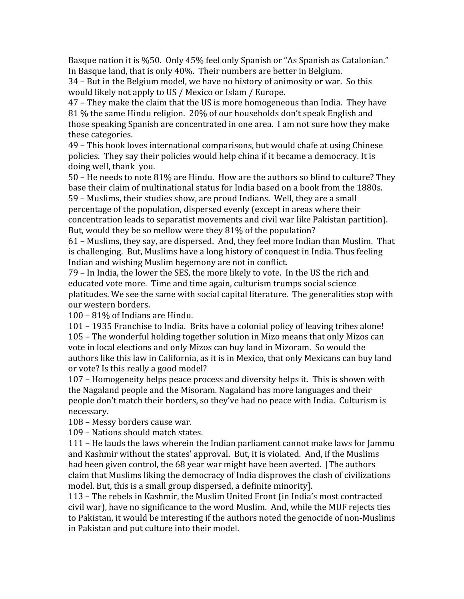Basque nation it is %50. Only 45% feel only Spanish or "As Spanish as Catalonian." In
Basque
land,
that
is
only
40%.

Their
numbers
are
better
in
Belgium.

34
–
But
in
the
Belgium
model,
we
have
no
history
of
animosity
or
war.

So
this would likely not apply to US / Mexico or Islam / Europe.

47
–
They
make
the
claim
that
the
US
is
more
homogeneous
than
India.

They
have 81
%
the
same
Hindu
religion.

20%
of
our
households
don't
speak
English
and those
speaking
Spanish
are
concentrated
in
one
area.

I
am
not
sure
how
they
make these
categories.

49
–
This
book
loves
international
comparisons,
but
would
chafe
at
using
Chinese policies.

They
say
their
policies
would
help
china
if
it
became
a
democracy.
It
is doing
well,
thank

you.

50 – He needs to note 81% are Hindu. How are the authors so blind to culture? They base
their
claim
of
multinational
status
for
India
based
on
a
book
from
the
1880s. 59
–
Muslims,
their
studies
show,
are
proud
Indians.

Well,
they
are
a
small percentage
of
the
population,
dispersed
evenly
(except
in
areas
where
their concentration
leads
to
separatist
movements
and
civil
war
like
Pakistan
partition). But, would they be so mellow were they 81% of the population?

61
–
Muslims,
they
say,
are
dispersed.

And,
they
feel
more
Indian
than
Muslim.

That is
challenging.

But,
Muslims
have
a
long
history
of
conquest
in
India.
Thus
feeling Indian
and
wishing
Muslim
hegemony
are
not
in
conflict.

79
–
In
India,
the
lower
the
SES,
the
more
likely
to
vote.

In
the
US
the
rich
and educated vote more. Time and time again, culturism trumps social science platitudes. We see the same with social capital literature. The generalities stop with our
western
borders.

100
–
81%
of
Indians
are
Hindu.

101
–
1935
Franchise
to
India.

Brits
have
a
colonial
policy
of
leaving
tribes
alone! 105
–
The
wonderful
holding
together
solution
in
Mizo
means
that
only
Mizos
can vote
in
local
elections
and
only
Mizos
can
buy
land
in
Mizoram.

So
would
the authors like this law in California, as it is in Mexico, that only Mexicans can buy land or
vote?
Is
this
really
a
good
model?

107
–
Homogeneity
helps
peace
process
and
diversity
helps
it.

This
is
shown
with the
Nagaland
people
and
the
Misoram.
Nagaland
has
more
languages
and
their people
don't
match
their
borders,
so
they've
had
no
peace
with
India.

Culturism
is necessary.

108
–
Messy
borders
cause
war.

109
–
Nations
should
match
states.

111
–
He
lauds
the
laws
wherein
the
Indian
parliament
cannot
make
laws
for
Jammu and Kashmir without the states' approval. But, it is violated. And, if the Muslims had been given control, the 68 year war might have been averted. [The authors] claim
that
Muslims
liking
the
democracy
of
India
disproves
the
clash
of
civilizations model.
But,
this
is
a
small
group
dispersed,
a
definite
minority].

113
–
The
rebels
in
Kashmir,
the
Muslim
United
Front
(in
India's
most
contracted civil
war),
have
no
significance
to
the
word
Muslim.

And,
while
the
MUF
rejects
ties to Pakistan, it would be interesting if the authors noted the genocide of non-Muslims in
Pakistan
and
put
culture
into
their
model.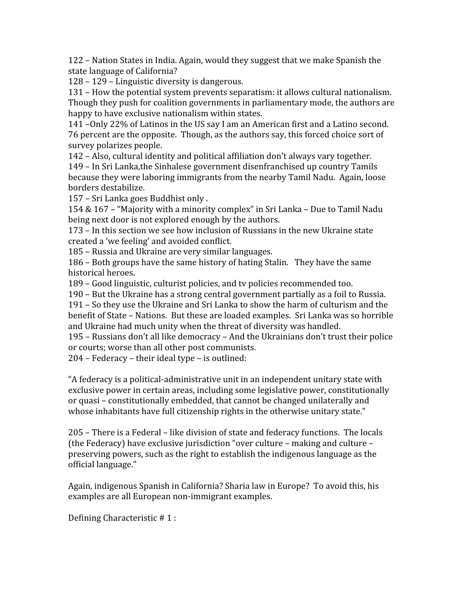122
–
Nation
States
in
India.
Again,
would
they
suggest
that
we
make
Spanish
the state
language
of
California?

128
–
129
–
Linguistic
diversity
is
dangerous.

131
–
How
the
potential
system
prevents
separatism:
it
allows
cultural
nationalism. Though
they
push
for
coalition
governments
in
parliamentary
mode,
the
authors
are happy to have exclusive nationalism within states.

141
–Only
22%
of
Latinos
in
the
US
say
I
am
an
American
first
and
a
Latino
second. 76
percent
are
the
opposite.

Though,
as
the
authors
say,
this
forced
choice
sort
of survey
polarizes
people.

142
–
Also,
cultural
identity
and
political
affiliation
don't
always
vary
together. 149
–
In
Sri
Lanka,the
Sinhalese
government
disenfranchised
up
country
Tamils because they were laboring immigrants from the nearby Tamil Nadu. Again, loose borders
destabilize.

157
–
Sri
Lanka
goes
Buddhist
only
.

154
&
167
–
"Majority
with
a
minority
complex"
in
Sri
Lanka
–
Due
to
Tamil
Nadu being
next
door
is
not
explored
enough
by
the
authors.

173
–
In
this
section
we
see
how
inclusion
of
Russians
in
the
new
Ukraine
state created
a
'we
feeling'
and
avoided
conflict.

185
–
Russia
and
Ukraine
are
very
similar
languages.

186
–
Both
groups
have
the
same
history
of
hating
Stalin.

They
have
the
same historical
heroes.

189
–
Good
linguistic,
culturist
policies,
and
tv
policies
recommended
too.

190
–
But
the
Ukraine
has
a
strong
central
government
partially
as
a
foil
to
Russia.

191
– So
they
use
the
Ukraine
and
Sri
Lanka
to
show
the
harm
of
culturism
and
the benefit
of
State
–
Nations.

But
these
are
loaded
examples.

Sri
Lanka
was
so
horrible and
Ukraine
had
much
unity
when
the
threat
of
diversity
was
handled.

195 – Russians don't all like democracy – And the Ukrainians don't trust their police or
courts;
worse
than
all
other
post
communists.

204
–
Federacy
–
their
ideal
type
–
is
outlined:

"A
federacy
is
a
political‐administrative
unit
in
an
independent
unitary
state
with exclusive power in certain areas, including some legislative power, constitutionally or
quasi
–
constitutionally
embedded,
that
cannot
be
changed
unilaterally
and whose inhabitants have full citizenship rights in the otherwise unitary state."

205
–
There
is
a
Federal
–
like
division
of
state
and
federacy
functions.

The
locals (the
Federacy)
have
exclusive
jurisdiction
"over
culture
–
making
and
culture
– preserving
powers,
such
as
the
right
to
establish
the
indigenous
language
as
the official
language."

Again, indigenous Spanish in California? Sharia law in Europe? To avoid this, his examples
are
all
European
non‐immigrant
examples.

Defining
Characteristic
#
1
: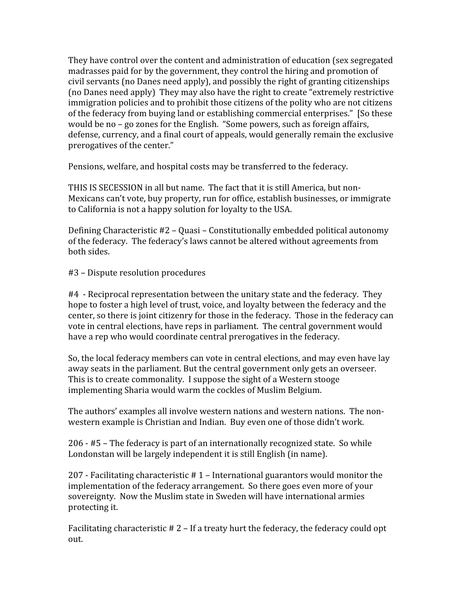They have control over the content and administration of education (sex segregated madrasses
paid
for
by
the
government,
they
control
the
hiring
and
promotion
of civil
servants
(no
Danes
need
apply),
and
possibly
the
right
of
granting
citizenships (no
Danes
need
apply)

They
may
also
have
the
right
to
create
"extremely
restrictive immigration policies and to prohibit those citizens of the polity who are not citizens of the federacy from buying land or establishing commercial enterprises." [So these would be no – go zones for the English. "Some powers, such as foreign affairs, defense,
currency,
and
a
final
court
of
appeals,
would
generally
remain
the
exclusive prerogatives
of
the
center."

Pensions, welfare, and hospital costs may be transferred to the federacy.

THIS IS SECESSION in all but name. The fact that it is still America, but non-Mexicans
can't
vote,
buy
property,
run
for
office,
establish
businesses,
or
immigrate to
California
is
not
a
happy
solution
for
loyalty
to
the
USA.

Defining
Characteristic
#2
–
Quasi
–
Constitutionally
embedded
political
autonomy of
the
federacy.

The
federacy's
laws
cannot
be
altered
without
agreements
from both
sides.

#3
–
Dispute
resolution
procedures

#4

‐
Reciprocal
representation
between
the
unitary
state
and
the
federacy.

They hope to foster a high level of trust, voice, and loyalty between the federacy and the center,
so
there
is
joint
citizenry
for
those
in
the
federacy.

Those
in
the
federacy
can vote
in
central
elections,
have
reps
in
parliament.

The
central
government
would have a rep who would coordinate central prerogatives in the federacy.

So, the local federacy members can vote in central elections, and may even have lay away seats in the parliament. But the central government only gets an overseer. This is to create commonality. I suppose the sight of a Western stooge implementing
Sharia
would
warm
the
cockles
of
Muslim
Belgium.

The
authors'
examples
all
involve
western
nations
and
western
nations.

The
non‐ western
example
is
Christian
and
Indian.

Buy
even
one
of
those
didn't
work.

206
‐
#5 –
The
federacy
is
part
of
an
internationally
recognized
state.

So
while Londonstan will be largely independent it is still English (in name).

207
‐ Facilitating
characteristic
#
1
–
International
guarantors
would
monitor
the implementation
of
the
federacy
arrangement.

So
there
goes
even
more
of
your sovereignty. Now the Muslim state in Sweden will have international armies protecting
it.

Facilitating characteristic # 2 – If a treaty hurt the federacy, the federacy could opt out.